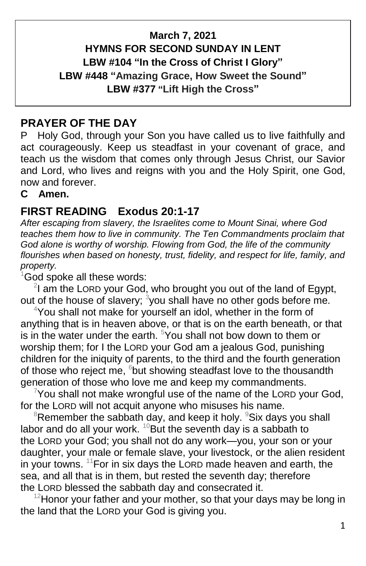# **March 7, 2021 HYMNS FOR SECOND SUNDAY IN LENT LBW #104 "In the Cross of Christ I Glory" LBW #448 "Amazing Grace, How Sweet the Sound" LBW #377 "Lift High the Cross"**

# **PRAYER OF THE DAY**

P Holy God, through your Son you have called us to live faithfully and act courageously. Keep us steadfast in your covenant of grace, and teach us the wisdom that comes only through Jesus Christ, our Savior and Lord, who lives and reigns with you and the Holy Spirit, one God, now and forever.

#### **C Amen.**

## **FIRST READING Exodus 20:1-17**

*After escaping from slavery, the Israelites come to Mount Sinai, where God teaches them how to live in community. The Ten Commandments proclaim that God alone is worthy of worship. Flowing from God, the life of the community flourishes when based on honesty, trust, fidelity, and respect for life, family, and property.*

 $1$ God spoke all these words:

 $2$ I am the LORD your God, who brought you out of the land of Egypt, out of the house of slavery;  $3$ you shall have no other gods before me.

<sup>4</sup>You shall not make for yourself an idol, whether in the form of anything that is in heaven above, or that is on the earth beneath, or that is in the water under the earth.  $5$ You shall not bow down to them or worship them; for I the LORD your God am a jealous God, punishing children for the iniquity of parents, to the third and the fourth generation of those who reject me, <sup>6</sup>but showing steadfast love to the thousandth generation of those who love me and keep my commandments.

 $7$ You shall not make wrongful use of the name of the LORD your God, for the LORD will not acquit anyone who misuses his name.

 $8R$ emember the sabbath day, and keep it holy.  $8S$ ix days you shall labor and do all your work.  $^{10}$ But the seventh day is a sabbath to the LORD your God; you shall not do any work—you, your son or your daughter, your male or female slave, your livestock, or the alien resident in your towns.  $11$  For in six days the LORD made heaven and earth, the sea, and all that is in them, but rested the seventh day; therefore the LORD blessed the sabbath day and consecrated it.

 $12$ Honor your father and your mother, so that your days may be long in the land that the LORD your God is giving you.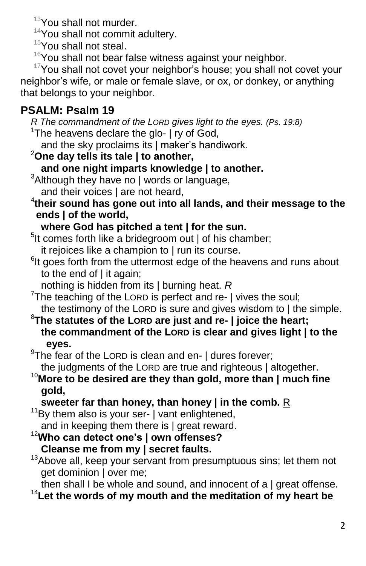<sup>13</sup>You shall not murder.

 $14$ You shall not commit adultery.

- <sup>15</sup>You shall not steal.
- $16$ You shall not bear false witness against your neighbor.

<sup>17</sup>You shall not covet your neighbor's house; you shall not covet your neighbor's wife, or male or female slave, or ox, or donkey, or anything that belongs to your neighbor.

# **PSALM: Psalm 19**

 *R The commandment of the LORD gives light to the eyes. (Ps. 19:8)* <sup>1</sup>The heavens declare the glo-  $\vert$  ry of God,

and the sky proclaims its | maker's handiwork.

- <sup>2</sup>**One day tells its tale | to another,**
	- **and one night imparts knowledge | to another.**
- $3$ Although they have no | words or language,
- and their voices | are not heard,
- 4 **their sound has gone out into all lands, and their message to the ends | of the world,**

# **where God has pitched a tent | for the sun.**

<sup>5</sup>lt comes forth like a bridegroom out | of his chamber;

it rejoices like a champion to | run its course.

- <sup>6</sup>lt goes forth from the uttermost edge of the heavens and runs about to the end of | it again;
- nothing is hidden from its | burning heat. *R*

 $7$ The teaching of the LORD is perfect and re-  $\vert$  vives the soul; the testimony of the LORD is sure and gives wisdom to | the simple.

#### <sup>8</sup>**The statutes of the LORD are just and re- | joice the heart; the commandment of the LORD is clear and gives light | to the eyes.**

- $9$ The fear of the LORD is clean and en-  $\vert$  dures forever; the judgments of the LORD are true and righteous | altogether.
- <sup>10</sup>**More to be desired are they than gold, more than | much fine gold,**

# **sweeter far than honey, than honey | in the comb.** R

 $11$ Bv them also is your ser-  $\vert$  vant enlightened,

- and in keeping them there is | great reward.
- <sup>12</sup>**Who can detect one's | own offenses? Cleanse me from my | secret faults.**
- $13A$ bove all, keep your servant from presumptuous sins; let them not get dominion | over me;

then shall I be whole and sound, and innocent of a | great offense. <sup>14</sup> Let the words of my mouth and the meditation of my heart be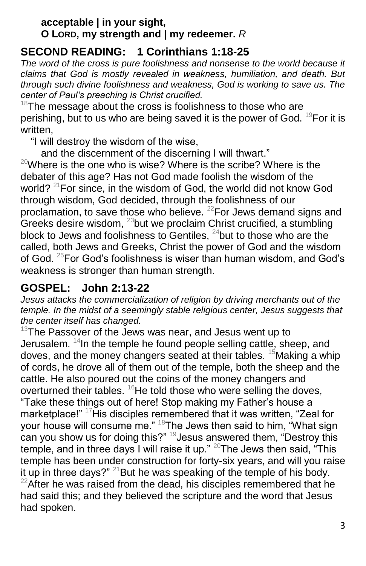#### **acceptable | in your sight, O LORD, my strength and | my redeemer.** *R*

# **SECOND READING: 1 Corinthians 1:18-25**

*The word of the cross is pure foolishness and nonsense to the world because it claims that God is mostly revealed in weakness, humiliation, and death. But through such divine foolishness and weakness, God is working to save us. The center of Paul's preaching is Christ crucified.*

 $18$ The message about the cross is foolishness to those who are perishing, but to us who are being saved it is the power of God. <sup>19</sup>For it is written,

"I will destroy the wisdom of the wise,

and the discernment of the discerning I will thwart."  $^{20}$ Where is the one who is wise? Where is the scribe? Where is the

debater of this age? Has not God made foolish the wisdom of the world?<sup>21</sup>For since, in the wisdom of God, the world did not know God through wisdom, God decided, through the foolishness of our proclamation, to save those who believe. <sup>22</sup>For Jews demand signs and Greeks desire wisdom,  $^{23}$ but we proclaim Christ crucified, a stumbling block to Jews and foolishness to Gentiles,  $^{24}$ but to those who are the called, both Jews and Greeks, Christ the power of God and the wisdom of God. <sup>25</sup>For God's foolishness is wiser than human wisdom, and God's weakness is stronger than human strength.

# **GOSPEL: John 2:13-22**

*Jesus attacks the commercialization of religion by driving merchants out of the temple. In the midst of a seemingly stable religious center, Jesus suggests that the center itself has changed.*

 $13$ The Passover of the Jews was near, and Jesus went up to Jerusalem.  $14$ In the temple he found people selling cattle, sheep, and doves, and the money changers seated at their tables.  $15$ Making a whip of cords, he drove all of them out of the temple, both the sheep and the cattle. He also poured out the coins of the money changers and overturned their tables.  ${}^{16}$ He told those who were selling the doves, "Take these things out of here! Stop making my Father's house a marketplace!" <sup>17</sup>His disciples remembered that it was written, "Zeal for your house will consume me."  $18$ The Jews then said to him, "What sign can you show us for doing this?" <sup>19</sup>Jesus answered them, "Destroy this temple, and in three days I will raise it up."  $20$  The Jews then said, "This temple has been under construction for forty-six years, and will you raise it up in three days?"  $21$  But he was speaking of the temple of his body.  $22$ After he was raised from the dead, his disciples remembered that he had said this; and they believed the scripture and the word that Jesus had spoken.